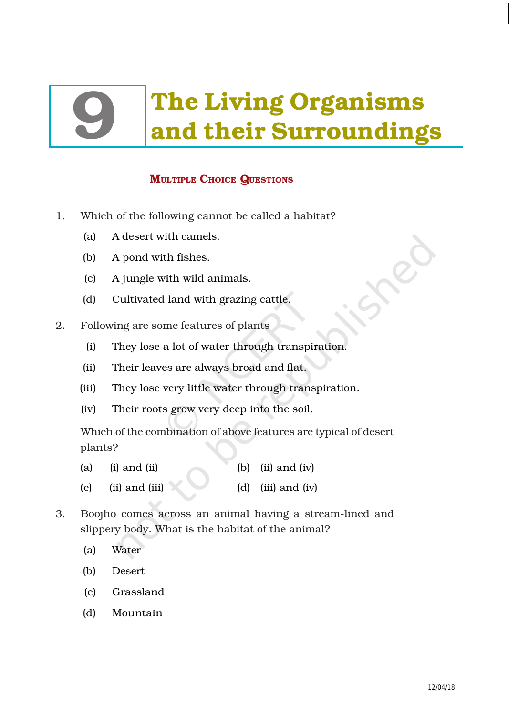# The Living Organisms<br>and their Surroundings

# MULTIPLE CHOICE QUESTIONS

- 1. Which of the following cannot be called a habitat?
	- (a) A desert with camels.
	- (b) A pond with fishes.
	- (c) A jungle with wild animals.
	- (d) Cultivated land with grazing cattle.
- 2. Following are some features of plants
	- (i) They lose a lot of water through transpiration.
	- (ii) Their leaves are always broad and flat.
	- (iii) They lose very little water through transpiration.
	- (iv) Their roots grow very deep into the soil.

Which of the combination of above features are typical of desert plants?

- (a) (i) and (ii)  $\qquad$  (b) (ii) and (iv)
- (c) (ii) and (iii)  $\qquad \qquad$  (d) (iii) and (iv)
- 3. Boojho comes across an animal having a stream-lined and slippery body. What is the habitat of the animal?
	- (a) Water
	- (b) Desert
	- (c) Grassland
	- (d) Mountain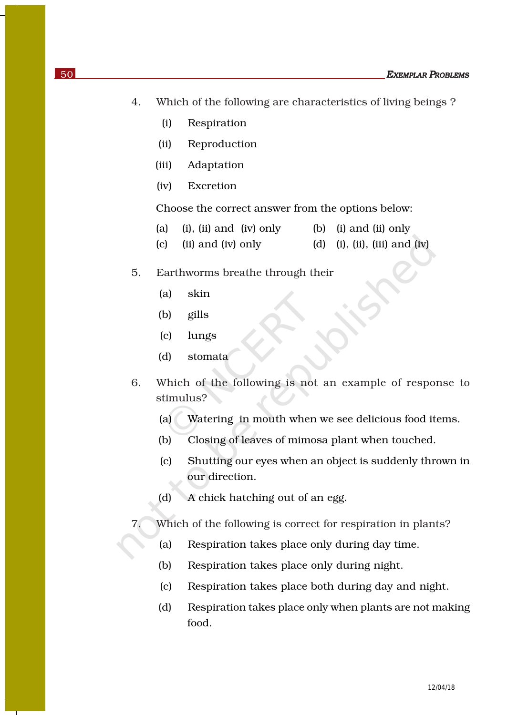- 4. Which of the following are characteristics of living beings ?
	- (i) Respiration
	- (ii) Reproduction
	- (iii) Adaptation
	- (iv) Excretion

Choose the correct answer from the options below:

- (a) (i), (ii) and (iv) only (b) (i) and (ii) only
- (c) (ii) and (iv) only (d) (i), (iii), (iiii) and (iv)
- 5. Earthworms breathe through their
	- (a) skin
	- (b) gills
	- (c) lungs
	- (d) stomata
- 6. Which of the following is not an example of response to stimulus?
	- (a) Watering in mouth when we see delicious food items.
	- (b) Closing of leaves of mimosa plant when touched.
	- (c) Shutting our eyes when an object is suddenly thrown in our direction.
	- (d) A chick hatching out of an egg.
- 7. Which of the following is correct for respiration in plants?
	- (a) Respiration takes place only during day time.
	- (b) Respiration takes place only during night.
	- (c) Respiration takes place both during day and night.
	- (d) Respiration takes place only when plants are not making food.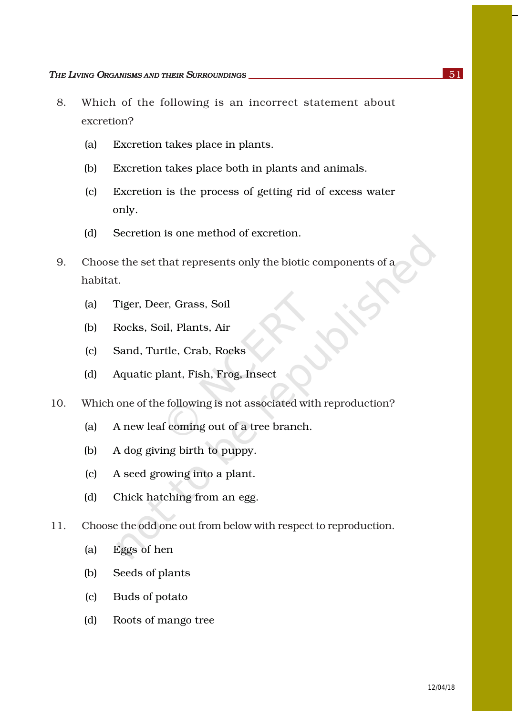- 8. Which of the following is an incorrect statement about excretion?
	- (a) Excretion takes place in plants.
	- (b) Excretion takes place both in plants and animals.
	- (c) Excretion is the process of getting rid of excess water only.
	- (d) Secretion is one method of excretion.
- 9. Choose the set that represents only the biotic components of a habitat.
	- (a) Tiger, Deer, Grass, Soil
	- (b) Rocks, Soil, Plants, Air
	- (c) Sand, Turtle, Crab, Rocks
	- (d) Aquatic plant, Fish, Frog, Insect
- 10. Which one of the following is not associated with reproduction?
	- (a) A new leaf coming out of a tree branch.
	- (b) A dog giving birth to puppy.
	- (c) A seed growing into a plant.
	- (d) Chick hatching from an egg.
- 11. Choose the odd one out from below with respect to reproduction.
	- (a) Eggs of hen
	- (b) Seeds of plants
	- (c) Buds of potato
	- (d) Roots of mango tree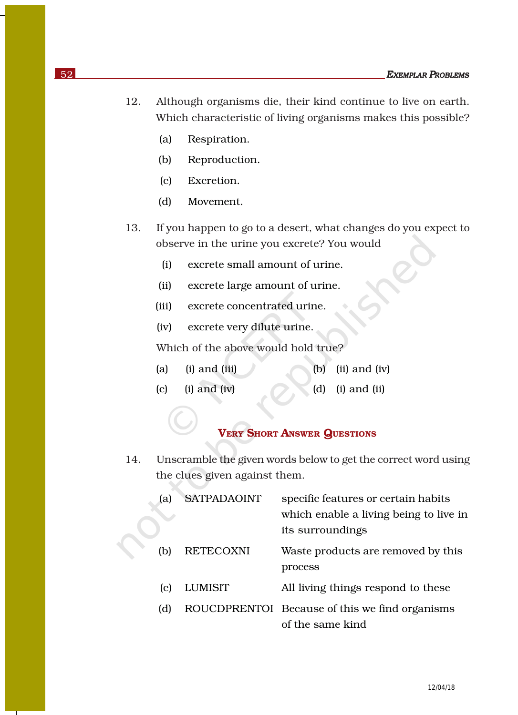- 12. Although organisms die, their kind continue to live on earth. Which characteristic of living organisms makes this possible?
	- (a) Respiration.
	- (b) Reproduction.
	- (c) Excretion.
	- (d) Movement.
- 13. If you happen to go to a desert, what changes do you expect to observe in the urine you excrete? You would
	- (i) excrete small amount of urine.
	- (ii) excrete large amount of urine.
	- (iii) excrete concentrated urine.
	- (iv) excrete very dilute urine.

Which of the above would hold true?

- (a) (i) and (iii)  $\qquad$  (b) (ii) and (iv)
- $(c)$  (i) and (iv)  $(d)$  (i) and (ii)

### VERY SHORT ANSWER QUESTIONS

14. Unscramble the given words below to get the correct word using the clues given against them.

| la) | <b>SATPADAOINT</b> | specific features or certain habits<br>which enable a living being to live in<br>its surroundings |
|-----|--------------------|---------------------------------------------------------------------------------------------------|
| (b) | <b>RETECOXNI</b>   | Waste products are removed by this<br>process                                                     |
| (C) | <b>LUMISIT</b>     | All living things respond to these                                                                |
| (d) |                    | ROUCDPRENTOI Because of this we find organisms<br>of the same kind                                |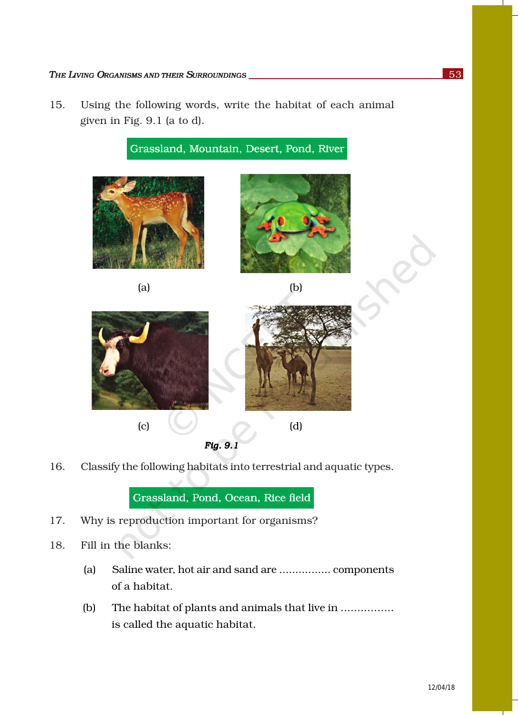15. Using the following words, write the habitat of each animal given in Fig. 9.1 (a to d).



16. Classify the following habitats into terrestrial and aquatic types.

Grassland, Pond, Ocean, Rice field

- 17. Why is reproduction important for organisms?
- 18. Fill in the blanks:
	- (a) Saline water, hot air and sand are ................ components of a habitat.
	- (b) The habitat of plants and animals that live in ................ is called the aquatic habitat.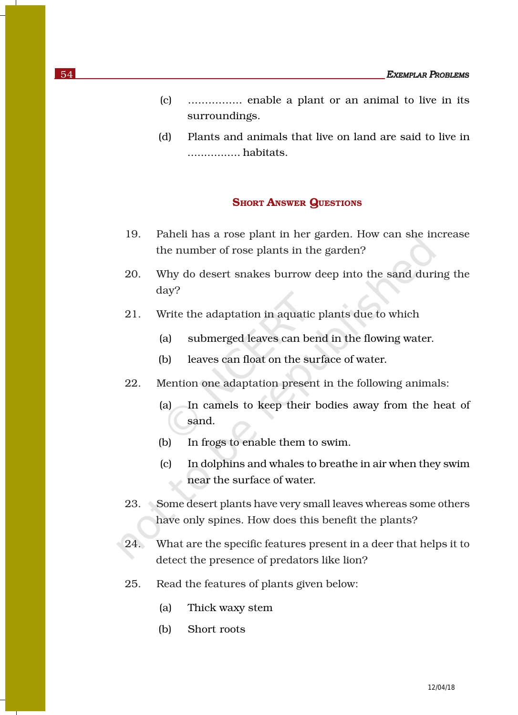- (c) ................ enable a plant or an animal to live in its surroundings.
- (d) Plants and animals that live on land are said to live in ................ habitats.

### **SHORT ANSWER QUESTIONS**

- 19. Paheli has a rose plant in her garden. How can she increase the number of rose plants in the garden?
- 20. Why do desert snakes burrow deep into the sand during the day?
- 21. Write the adaptation in aquatic plants due to which
	- (a) submerged leaves can bend in the flowing water.
	- (b) leaves can float on the surface of water.
- 22. Mention one adaptation present in the following animals:
	- (a) In camels to keep their bodies away from the heat of sand.
	- (b) In frogs to enable them to swim.
	- (c) In dolphins and whales to breathe in air when they swim near the surface of water.
- 23. Some desert plants have very small leaves whereas some others have only spines. How does this benefit the plants?
- 24. What are the specific features present in a deer that helps it to detect the presence of predators like lion?
- 25. Read the features of plants given below:
	- (a) Thick waxy stem
	- (b) Short roots